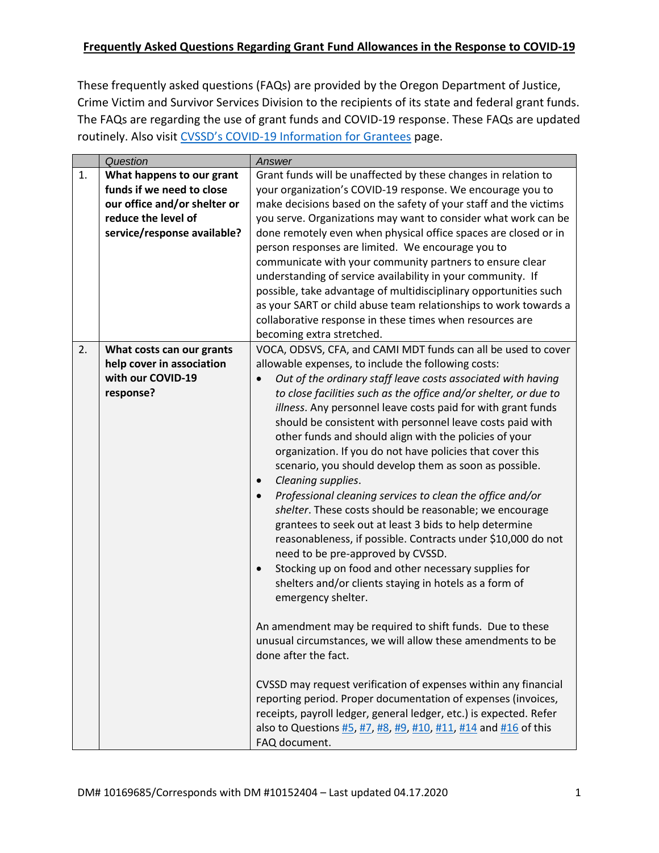These frequently asked questions (FAQs) are provided by the Oregon Department of Justice, Crime Victim and Survivor Services Division to the recipients of its state and federal grant funds. The FAQs are regarding the use of grant funds and COVID-19 response. These FAQs are updated routinely. Also visit CVSSD's COVID[-19 Information for Grantees](https://www.doj.state.or.us/crime-victims/for-grantees/covid-19-updates/) page.

<span id="page-0-0"></span>

|    | Question                     | Answer                                                             |
|----|------------------------------|--------------------------------------------------------------------|
| 1. | What happens to our grant    | Grant funds will be unaffected by these changes in relation to     |
|    | funds if we need to close    | your organization's COVID-19 response. We encourage you to         |
|    | our office and/or shelter or | make decisions based on the safety of your staff and the victims   |
|    | reduce the level of          | you serve. Organizations may want to consider what work can be     |
|    | service/response available?  | done remotely even when physical office spaces are closed or in    |
|    |                              | person responses are limited. We encourage you to                  |
|    |                              | communicate with your community partners to ensure clear           |
|    |                              | understanding of service availability in your community. If        |
|    |                              | possible, take advantage of multidisciplinary opportunities such   |
|    |                              | as your SART or child abuse team relationships to work towards a   |
|    |                              | collaborative response in these times when resources are           |
|    |                              | becoming extra stretched.                                          |
| 2. | What costs can our grants    | VOCA, ODSVS, CFA, and CAMI MDT funds can all be used to cover      |
|    | help cover in association    | allowable expenses, to include the following costs:                |
|    | with our COVID-19            | Out of the ordinary staff leave costs associated with having       |
|    | response?                    | to close facilities such as the office and/or shelter, or due to   |
|    |                              | illness. Any personnel leave costs paid for with grant funds       |
|    |                              | should be consistent with personnel leave costs paid with          |
|    |                              | other funds and should align with the policies of your             |
|    |                              | organization. If you do not have policies that cover this          |
|    |                              | scenario, you should develop them as soon as possible.             |
|    |                              | Cleaning supplies.                                                 |
|    |                              | Professional cleaning services to clean the office and/or          |
|    |                              | shelter. These costs should be reasonable; we encourage            |
|    |                              | grantees to seek out at least 3 bids to help determine             |
|    |                              | reasonableness, if possible. Contracts under \$10,000 do not       |
|    |                              | need to be pre-approved by CVSSD.                                  |
|    |                              | Stocking up on food and other necessary supplies for<br>$\bullet$  |
|    |                              | shelters and/or clients staying in hotels as a form of             |
|    |                              | emergency shelter.                                                 |
|    |                              |                                                                    |
|    |                              | An amendment may be required to shift funds. Due to these          |
|    |                              | unusual circumstances, we will allow these amendments to be        |
|    |                              | done after the fact.                                               |
|    |                              |                                                                    |
|    |                              | CVSSD may request verification of expenses within any financial    |
|    |                              | reporting period. Proper documentation of expenses (invoices,      |
|    |                              | receipts, payroll ledger, general ledger, etc.) is expected. Refer |
|    |                              | also to Questions #5, #7, #8, #9, #10, #11, #14 and #16 of this    |
|    |                              | FAQ document.                                                      |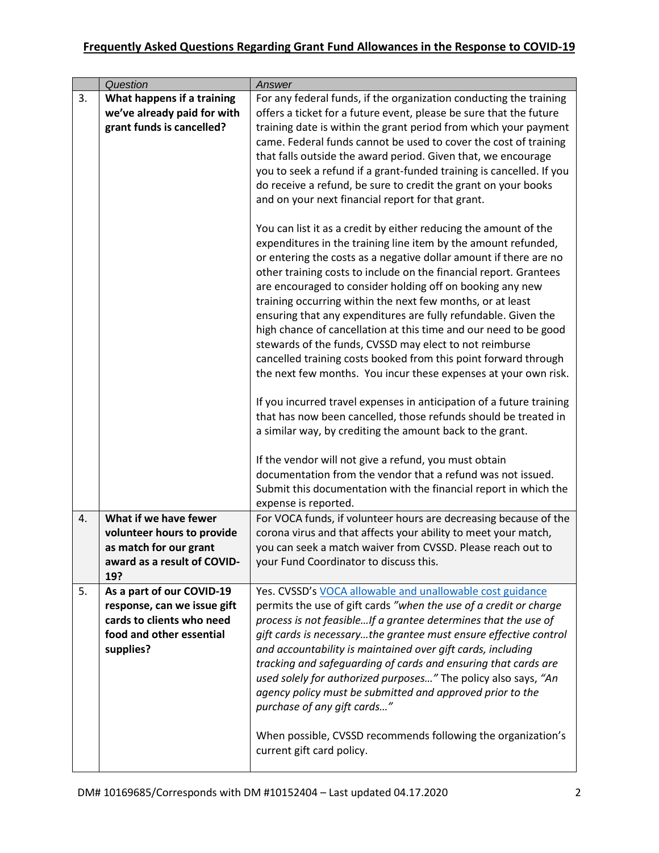<span id="page-1-0"></span>

|    | Question                                                 | Answer                                                                                                                                 |
|----|----------------------------------------------------------|----------------------------------------------------------------------------------------------------------------------------------------|
| 3. | What happens if a training                               | For any federal funds, if the organization conducting the training                                                                     |
|    | we've already paid for with                              | offers a ticket for a future event, please be sure that the future                                                                     |
|    | grant funds is cancelled?                                | training date is within the grant period from which your payment                                                                       |
|    |                                                          | came. Federal funds cannot be used to cover the cost of training                                                                       |
|    |                                                          | that falls outside the award period. Given that, we encourage                                                                          |
|    |                                                          | you to seek a refund if a grant-funded training is cancelled. If you<br>do receive a refund, be sure to credit the grant on your books |
|    |                                                          | and on your next financial report for that grant.                                                                                      |
|    |                                                          |                                                                                                                                        |
|    |                                                          | You can list it as a credit by either reducing the amount of the                                                                       |
|    |                                                          | expenditures in the training line item by the amount refunded,                                                                         |
|    |                                                          | or entering the costs as a negative dollar amount if there are no                                                                      |
|    |                                                          | other training costs to include on the financial report. Grantees<br>are encouraged to consider holding off on booking any new         |
|    |                                                          | training occurring within the next few months, or at least                                                                             |
|    |                                                          | ensuring that any expenditures are fully refundable. Given the                                                                         |
|    |                                                          | high chance of cancellation at this time and our need to be good                                                                       |
|    |                                                          | stewards of the funds, CVSSD may elect to not reimburse                                                                                |
|    |                                                          | cancelled training costs booked from this point forward through                                                                        |
|    |                                                          | the next few months. You incur these expenses at your own risk.                                                                        |
|    |                                                          | If you incurred travel expenses in anticipation of a future training                                                                   |
|    |                                                          | that has now been cancelled, those refunds should be treated in                                                                        |
|    |                                                          | a similar way, by crediting the amount back to the grant.                                                                              |
|    |                                                          |                                                                                                                                        |
|    |                                                          | If the vendor will not give a refund, you must obtain                                                                                  |
|    |                                                          | documentation from the vendor that a refund was not issued.                                                                            |
|    |                                                          | Submit this documentation with the financial report in which the                                                                       |
| 4. | What if we have fewer                                    | expense is reported.<br>For VOCA funds, if volunteer hours are decreasing because of the                                               |
|    | volunteer hours to provide                               | corona virus and that affects your ability to meet your match,                                                                         |
|    | as match for our grant                                   | you can seek a match waiver from CVSSD. Please reach out to                                                                            |
|    | award as a result of COVID-                              | your Fund Coordinator to discuss this.                                                                                                 |
|    | 19?                                                      |                                                                                                                                        |
| 5. | As a part of our COVID-19                                | Yes. CVSSD's VOCA allowable and unallowable cost guidance                                                                              |
|    | response, can we issue gift<br>cards to clients who need | permits the use of gift cards "when the use of a credit or charge<br>process is not feasibleIf a grantee determines that the use of    |
|    | food and other essential                                 | gift cards is necessarythe grantee must ensure effective control                                                                       |
|    | supplies?                                                | and accountability is maintained over gift cards, including                                                                            |
|    |                                                          | tracking and safeguarding of cards and ensuring that cards are                                                                         |
|    |                                                          | used solely for authorized purposes" The policy also says, "An                                                                         |
|    |                                                          | agency policy must be submitted and approved prior to the                                                                              |
|    |                                                          | purchase of any gift cards"                                                                                                            |
|    |                                                          |                                                                                                                                        |
|    |                                                          | When possible, CVSSD recommends following the organization's<br>current gift card policy.                                              |
|    |                                                          |                                                                                                                                        |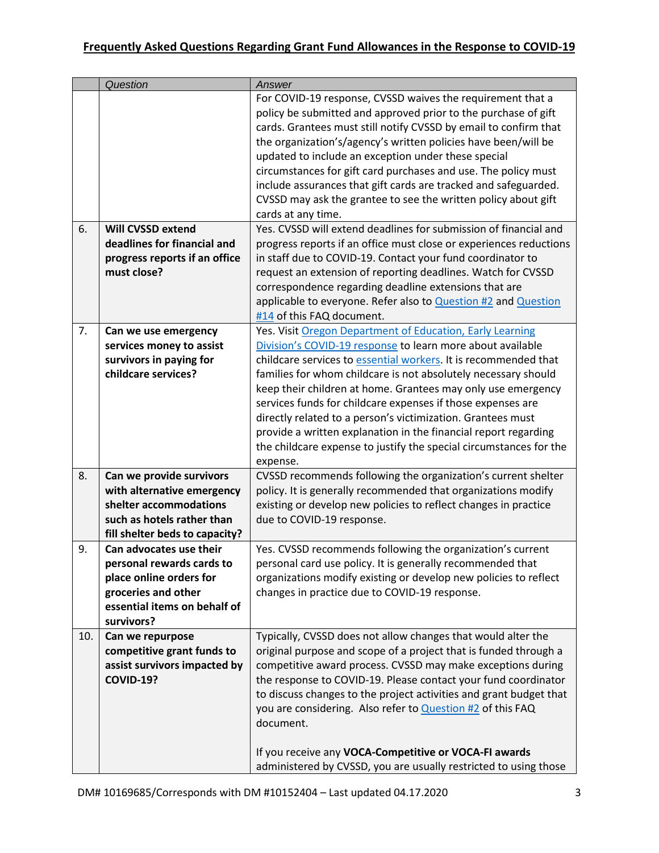<span id="page-2-4"></span><span id="page-2-3"></span><span id="page-2-2"></span><span id="page-2-1"></span><span id="page-2-0"></span>

|     | Question                       | Answer                                                             |
|-----|--------------------------------|--------------------------------------------------------------------|
|     |                                | For COVID-19 response, CVSSD waives the requirement that a         |
|     |                                | policy be submitted and approved prior to the purchase of gift     |
|     |                                | cards. Grantees must still notify CVSSD by email to confirm that   |
|     |                                | the organization's/agency's written policies have been/will be     |
|     |                                | updated to include an exception under these special                |
|     |                                | circumstances for gift card purchases and use. The policy must     |
|     |                                | include assurances that gift cards are tracked and safeguarded.    |
|     |                                | CVSSD may ask the grantee to see the written policy about gift     |
|     |                                | cards at any time.                                                 |
| 6.  | <b>Will CVSSD extend</b>       | Yes. CVSSD will extend deadlines for submission of financial and   |
|     | deadlines for financial and    | progress reports if an office must close or experiences reductions |
|     | progress reports if an office  | in staff due to COVID-19. Contact your fund coordinator to         |
|     | must close?                    |                                                                    |
|     |                                | request an extension of reporting deadlines. Watch for CVSSD       |
|     |                                | correspondence regarding deadline extensions that are              |
|     |                                | applicable to everyone. Refer also to Question #2 and Question     |
|     |                                | #14 of this FAQ document.                                          |
| 7.  | Can we use emergency           | Yes. Visit Oregon Department of Education, Early Learning          |
|     | services money to assist       | Division's COVID-19 response to learn more about available         |
|     | survivors in paying for        | childcare services to essential workers. It is recommended that    |
|     | childcare services?            | families for whom childcare is not absolutely necessary should     |
|     |                                | keep their children at home. Grantees may only use emergency       |
|     |                                | services funds for childcare expenses if those expenses are        |
|     |                                | directly related to a person's victimization. Grantees must        |
|     |                                | provide a written explanation in the financial report regarding    |
|     |                                | the childcare expense to justify the special circumstances for the |
|     |                                | expense.                                                           |
| 8.  | Can we provide survivors       | CVSSD recommends following the organization's current shelter      |
|     | with alternative emergency     | policy. It is generally recommended that organizations modify      |
|     | shelter accommodations         | existing or develop new policies to reflect changes in practice    |
|     | such as hotels rather than     | due to COVID-19 response.                                          |
|     | fill shelter beds to capacity? |                                                                    |
| 9.  | Can advocates use their        | Yes. CVSSD recommends following the organization's current         |
|     | personal rewards cards to      | personal card use policy. It is generally recommended that         |
|     | place online orders for        | organizations modify existing or develop new policies to reflect   |
|     | groceries and other            | changes in practice due to COVID-19 response.                      |
|     | essential items on behalf of   |                                                                    |
|     | survivors?                     |                                                                    |
| 10. | Can we repurpose               | Typically, CVSSD does not allow changes that would alter the       |
|     | competitive grant funds to     | original purpose and scope of a project that is funded through a   |
|     | assist survivors impacted by   | competitive award process. CVSSD may make exceptions during        |
|     | <b>COVID-19?</b>               | the response to COVID-19. Please contact your fund coordinator     |
|     |                                | to discuss changes to the project activities and grant budget that |
|     |                                | you are considering. Also refer to <b>Question #2</b> of this FAQ  |
|     |                                | document.                                                          |
|     |                                |                                                                    |
|     |                                | If you receive any VOCA-Competitive or VOCA-FI awards              |
|     |                                |                                                                    |
|     |                                | administered by CVSSD, you are usually restricted to using those   |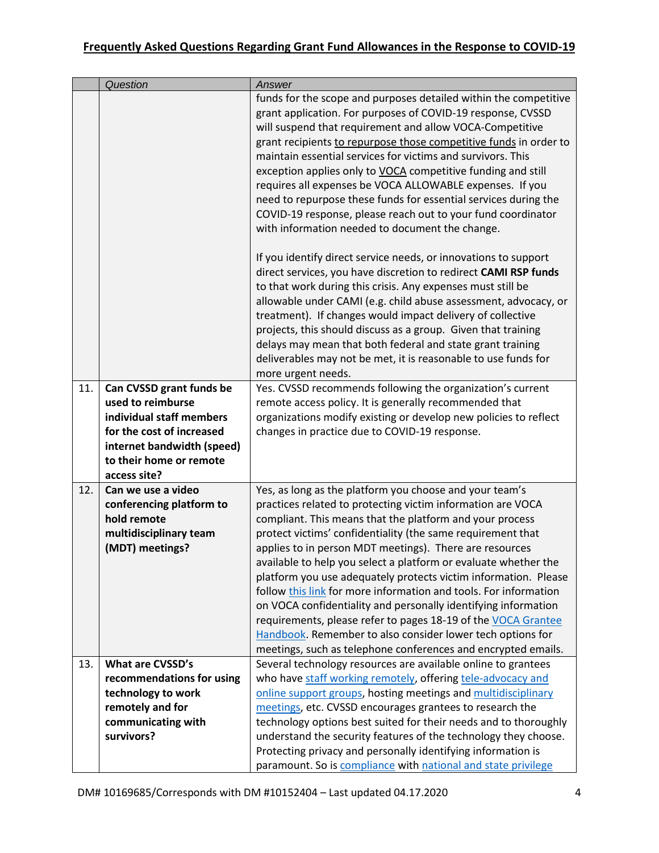<span id="page-3-1"></span><span id="page-3-0"></span>

|     | Question                                        | Answer                                                                                                                                                                                                                                                                                                                                                                                                                                                                                                                                                                                                                                                                                                                                                                                                                                                 |
|-----|-------------------------------------------------|--------------------------------------------------------------------------------------------------------------------------------------------------------------------------------------------------------------------------------------------------------------------------------------------------------------------------------------------------------------------------------------------------------------------------------------------------------------------------------------------------------------------------------------------------------------------------------------------------------------------------------------------------------------------------------------------------------------------------------------------------------------------------------------------------------------------------------------------------------|
|     |                                                 | funds for the scope and purposes detailed within the competitive<br>grant application. For purposes of COVID-19 response, CVSSD<br>will suspend that requirement and allow VOCA-Competitive<br>grant recipients to repurpose those competitive funds in order to<br>maintain essential services for victims and survivors. This<br>exception applies only to VOCA competitive funding and still<br>requires all expenses be VOCA ALLOWABLE expenses. If you<br>need to repurpose these funds for essential services during the<br>COVID-19 response, please reach out to your fund coordinator<br>with information needed to document the change.<br>If you identify direct service needs, or innovations to support<br>direct services, you have discretion to redirect CAMI RSP funds<br>to that work during this crisis. Any expenses must still be |
|     |                                                 | allowable under CAMI (e.g. child abuse assessment, advocacy, or<br>treatment). If changes would impact delivery of collective<br>projects, this should discuss as a group. Given that training<br>delays may mean that both federal and state grant training<br>deliverables may not be met, it is reasonable to use funds for<br>more urgent needs.                                                                                                                                                                                                                                                                                                                                                                                                                                                                                                   |
| 11. | Can CVSSD grant funds be                        | Yes. CVSSD recommends following the organization's current                                                                                                                                                                                                                                                                                                                                                                                                                                                                                                                                                                                                                                                                                                                                                                                             |
|     | used to reimburse<br>individual staff members   | remote access policy. It is generally recommended that<br>organizations modify existing or develop new policies to reflect                                                                                                                                                                                                                                                                                                                                                                                                                                                                                                                                                                                                                                                                                                                             |
|     | for the cost of increased                       | changes in practice due to COVID-19 response.                                                                                                                                                                                                                                                                                                                                                                                                                                                                                                                                                                                                                                                                                                                                                                                                          |
|     | internet bandwidth (speed)                      |                                                                                                                                                                                                                                                                                                                                                                                                                                                                                                                                                                                                                                                                                                                                                                                                                                                        |
|     | to their home or remote                         |                                                                                                                                                                                                                                                                                                                                                                                                                                                                                                                                                                                                                                                                                                                                                                                                                                                        |
|     | access site?                                    |                                                                                                                                                                                                                                                                                                                                                                                                                                                                                                                                                                                                                                                                                                                                                                                                                                                        |
| 12. | Can we use a video<br>conferencing platform to  | Yes, as long as the platform you choose and your team's<br>practices related to protecting victim information are VOCA                                                                                                                                                                                                                                                                                                                                                                                                                                                                                                                                                                                                                                                                                                                                 |
|     | hold remote                                     | compliant. This means that the platform and your process                                                                                                                                                                                                                                                                                                                                                                                                                                                                                                                                                                                                                                                                                                                                                                                               |
|     | multidisciplinary team                          | protect victims' confidentiality (the same requirement that                                                                                                                                                                                                                                                                                                                                                                                                                                                                                                                                                                                                                                                                                                                                                                                            |
|     | (MDT) meetings?                                 | applies to in person MDT meetings). There are resources                                                                                                                                                                                                                                                                                                                                                                                                                                                                                                                                                                                                                                                                                                                                                                                                |
|     |                                                 | available to help you select a platform or evaluate whether the                                                                                                                                                                                                                                                                                                                                                                                                                                                                                                                                                                                                                                                                                                                                                                                        |
|     |                                                 | platform you use adequately protects victim information. Please<br>follow this link for more information and tools. For information                                                                                                                                                                                                                                                                                                                                                                                                                                                                                                                                                                                                                                                                                                                    |
|     |                                                 | on VOCA confidentiality and personally identifying information                                                                                                                                                                                                                                                                                                                                                                                                                                                                                                                                                                                                                                                                                                                                                                                         |
|     |                                                 | requirements, please refer to pages 18-19 of the VOCA Grantee                                                                                                                                                                                                                                                                                                                                                                                                                                                                                                                                                                                                                                                                                                                                                                                          |
|     |                                                 | Handbook. Remember to also consider lower tech options for                                                                                                                                                                                                                                                                                                                                                                                                                                                                                                                                                                                                                                                                                                                                                                                             |
|     |                                                 | meetings, such as telephone conferences and encrypted emails.                                                                                                                                                                                                                                                                                                                                                                                                                                                                                                                                                                                                                                                                                                                                                                                          |
| 13. | What are CVSSD's                                | Several technology resources are available online to grantees                                                                                                                                                                                                                                                                                                                                                                                                                                                                                                                                                                                                                                                                                                                                                                                          |
|     | recommendations for using<br>technology to work | who have staff working remotely, offering tele-advocacy and<br>online support groups, hosting meetings and multidisciplinary                                                                                                                                                                                                                                                                                                                                                                                                                                                                                                                                                                                                                                                                                                                           |
|     | remotely and for                                | meetings, etc. CVSSD encourages grantees to research the                                                                                                                                                                                                                                                                                                                                                                                                                                                                                                                                                                                                                                                                                                                                                                                               |
|     | communicating with                              | technology options best suited for their needs and to thoroughly                                                                                                                                                                                                                                                                                                                                                                                                                                                                                                                                                                                                                                                                                                                                                                                       |
|     | survivors?                                      | understand the security features of the technology they choose.                                                                                                                                                                                                                                                                                                                                                                                                                                                                                                                                                                                                                                                                                                                                                                                        |
|     |                                                 | Protecting privacy and personally identifying information is                                                                                                                                                                                                                                                                                                                                                                                                                                                                                                                                                                                                                                                                                                                                                                                           |
|     |                                                 | paramount. So is compliance with national and state privilege                                                                                                                                                                                                                                                                                                                                                                                                                                                                                                                                                                                                                                                                                                                                                                                          |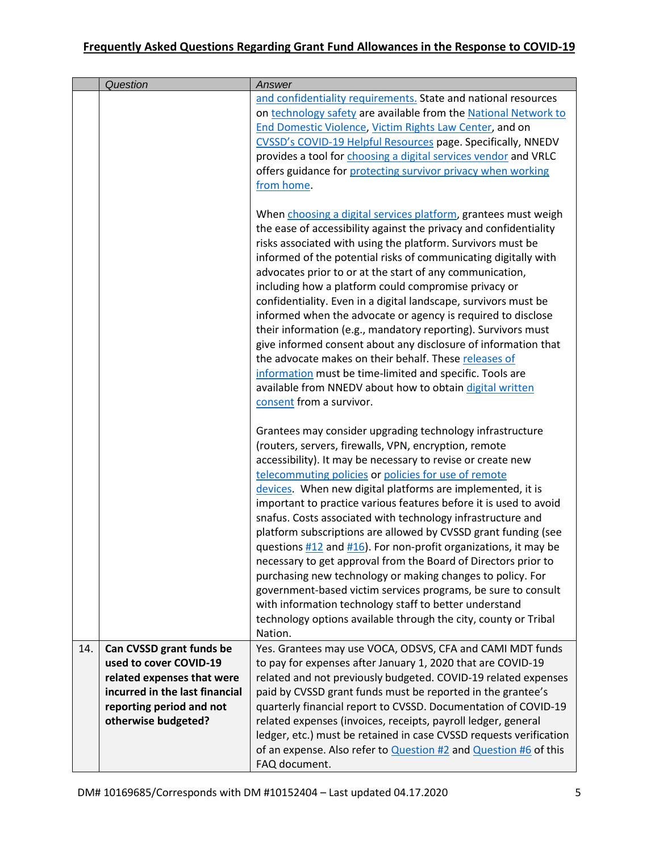<span id="page-4-0"></span>

|     | Question                       | Answer                                                                                                                                                            |
|-----|--------------------------------|-------------------------------------------------------------------------------------------------------------------------------------------------------------------|
|     |                                | and confidentiality requirements. State and national resources<br>on technology safety are available from the National Network to                                 |
|     |                                | End Domestic Violence, Victim Rights Law Center, and on                                                                                                           |
|     |                                | CVSSD's COVID-19 Helpful Resources page. Specifically, NNEDV                                                                                                      |
|     |                                | provides a tool for choosing a digital services vendor and VRLC                                                                                                   |
|     |                                | offers guidance for protecting survivor privacy when working                                                                                                      |
|     |                                | from home.                                                                                                                                                        |
|     |                                | When choosing a digital services platform, grantees must weigh                                                                                                    |
|     |                                | the ease of accessibility against the privacy and confidentiality                                                                                                 |
|     |                                | risks associated with using the platform. Survivors must be                                                                                                       |
|     |                                | informed of the potential risks of communicating digitally with                                                                                                   |
|     |                                | advocates prior to or at the start of any communication,                                                                                                          |
|     |                                | including how a platform could compromise privacy or                                                                                                              |
|     |                                | confidentiality. Even in a digital landscape, survivors must be                                                                                                   |
|     |                                | informed when the advocate or agency is required to disclose                                                                                                      |
|     |                                | their information (e.g., mandatory reporting). Survivors must                                                                                                     |
|     |                                | give informed consent about any disclosure of information that                                                                                                    |
|     |                                | the advocate makes on their behalf. These releases of                                                                                                             |
|     |                                | information must be time-limited and specific. Tools are                                                                                                          |
|     |                                | available from NNEDV about how to obtain digital written                                                                                                          |
|     |                                | consent from a survivor.                                                                                                                                          |
|     |                                | Grantees may consider upgrading technology infrastructure                                                                                                         |
|     |                                | (routers, servers, firewalls, VPN, encryption, remote                                                                                                             |
|     |                                | accessibility). It may be necessary to revise or create new                                                                                                       |
|     |                                | telecommuting policies or policies for use of remote                                                                                                              |
|     |                                | devices. When new digital platforms are implemented, it is                                                                                                        |
|     |                                | important to practice various features before it is used to avoid                                                                                                 |
|     |                                | snafus. Costs associated with technology infrastructure and                                                                                                       |
|     |                                | platform subscriptions are allowed by CVSSD grant funding (see                                                                                                    |
|     |                                | questions $\frac{\#12}{\#16}$ and $\frac{\#16}{\#16}$ . For non-profit organizations, it may be<br>necessary to get approval from the Board of Directors prior to |
|     |                                | purchasing new technology or making changes to policy. For                                                                                                        |
|     |                                | government-based victim services programs, be sure to consult                                                                                                     |
|     |                                | with information technology staff to better understand                                                                                                            |
|     |                                | technology options available through the city, county or Tribal                                                                                                   |
|     |                                | Nation.                                                                                                                                                           |
| 14. | Can CVSSD grant funds be       | Yes. Grantees may use VOCA, ODSVS, CFA and CAMI MDT funds                                                                                                         |
|     | used to cover COVID-19         | to pay for expenses after January 1, 2020 that are COVID-19                                                                                                       |
|     | related expenses that were     | related and not previously budgeted. COVID-19 related expenses                                                                                                    |
|     | incurred in the last financial | paid by CVSSD grant funds must be reported in the grantee's                                                                                                       |
|     | reporting period and not       | quarterly financial report to CVSSD. Documentation of COVID-19                                                                                                    |
|     | otherwise budgeted?            | related expenses (invoices, receipts, payroll ledger, general                                                                                                     |
|     |                                | ledger, etc.) must be retained in case CVSSD requests verification                                                                                                |
|     |                                | of an expense. Also refer to <b>Question #2</b> and <b>Question #6</b> of this<br>FAQ document.                                                                   |